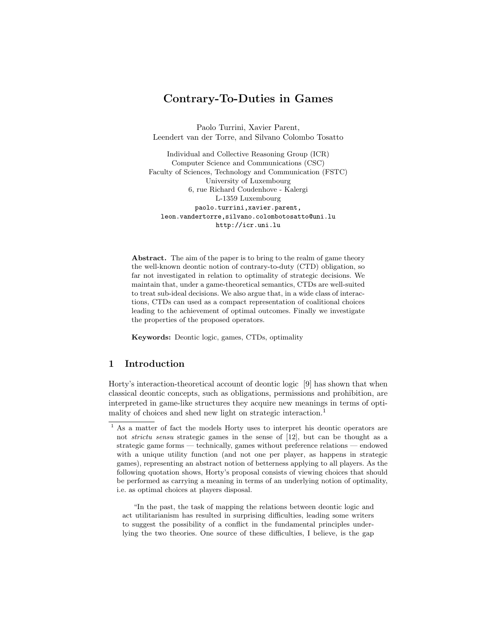# Contrary-To-Duties in Games

Paolo Turrini, Xavier Parent, Leendert van der Torre, and Silvano Colombo Tosatto

Individual and Collective Reasoning Group (ICR) Computer Science and Communications (CSC) Faculty of Sciences, Technology and Communication (FSTC) University of Luxembourg 6, rue Richard Coudenhove - Kalergi L-1359 Luxembourg paolo.turrini,xavier.parent, leon.vandertorre,silvano.colombotosatto@uni.lu http://icr.uni.lu

Abstract. The aim of the paper is to bring to the realm of game theory the well-known deontic notion of contrary-to-duty (CTD) obligation, so far not investigated in relation to optimality of strategic decisions. We maintain that, under a game-theoretical semantics, CTDs are well-suited to treat sub-ideal decisions. We also argue that, in a wide class of interactions, CTDs can used as a compact representation of coalitional choices leading to the achievement of optimal outcomes. Finally we investigate the properties of the proposed operators.

Keywords: Deontic logic, games, CTDs, optimality

## 1 Introduction

Horty's interaction-theoretical account of deontic logic [9] has shown that when classical deontic concepts, such as obligations, permissions and prohibition, are interpreted in game-like structures they acquire new meanings in terms of optimality of choices and shed new light on strategic interaction.<sup>1</sup>

"In the past, the task of mapping the relations between deontic logic and act utilitarianism has resulted in surprising difficulties, leading some writers to suggest the possibility of a conflict in the fundamental principles underlying the two theories. One source of these difficulties, I believe, is the gap

<sup>1</sup> As a matter of fact the models Horty uses to interpret his deontic operators are not strictu sensu strategic games in the sense of [12], but can be thought as a strategic game forms — technically, games without preference relations — endowed with a unique utility function (and not one per player, as happens in strategic games), representing an abstract notion of betterness applying to all players. As the following quotation shows, Horty's proposal consists of viewing choices that should be performed as carrying a meaning in terms of an underlying notion of optimality, i.e. as optimal choices at players disposal.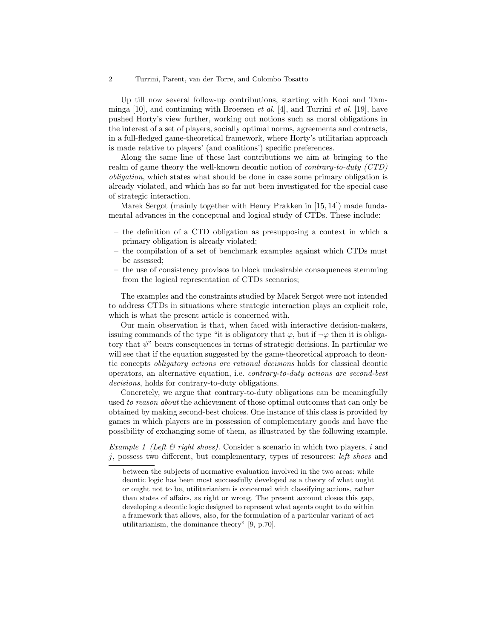Up till now several follow-up contributions, starting with Kooi and Tamminga  $[10]$ , and continuing with Broersen *et al.*  $[4]$ , and Turrini *et al.*  $[19]$ , have pushed Horty's view further, working out notions such as moral obligations in the interest of a set of players, socially optimal norms, agreements and contracts, in a full-fledged game-theoretical framework, where Horty's utilitarian approach is made relative to players' (and coalitions') specific preferences.

Along the same line of these last contributions we aim at bringing to the realm of game theory the well-known deontic notion of *contrary-to-duty* (CTD) obligation, which states what should be done in case some primary obligation is already violated, and which has so far not been investigated for the special case of strategic interaction.

Marek Sergot (mainly together with Henry Prakken in [15, 14]) made fundamental advances in the conceptual and logical study of CTDs. These include:

- the definition of a CTD obligation as presupposing a context in which a primary obligation is already violated;
- the compilation of a set of benchmark examples against which CTDs must be assessed;
- the use of consistency provisos to block undesirable consequences stemming from the logical representation of CTDs scenarios;

The examples and the constraints studied by Marek Sergot were not intended to address CTDs in situations where strategic interaction plays an explicit role, which is what the present article is concerned with.

Our main observation is that, when faced with interactive decision-makers, issuing commands of the type "it is obligatory that  $\varphi$ , but if  $\neg \varphi$  then it is obligatory that  $\psi$ " bears consequences in terms of strategic decisions. In particular we will see that if the equation suggested by the game-theoretical approach to deontic concepts obligatory actions are rational decisions holds for classical deontic operators, an alternative equation, i.e. contrary-to-duty actions are second-best decisions, holds for contrary-to-duty obligations.

Concretely, we argue that contrary-to-duty obligations can be meaningfully used to reason about the achievement of those optimal outcomes that can only be obtained by making second-best choices. One instance of this class is provided by games in which players are in possession of complementary goods and have the possibility of exchanging some of them, as illustrated by the following example.

Example 1 (Left  $\mathcal{C}$  right shoes). Consider a scenario in which two players, i and j, possess two different, but complementary, types of resources: left shoes and

between the subjects of normative evaluation involved in the two areas: while deontic logic has been most successfully developed as a theory of what ought or ought not to be, utilitarianism is concerned with classifying actions, rather than states of affairs, as right or wrong. The present account closes this gap, developing a deontic logic designed to represent what agents ought to do within a framework that allows, also, for the formulation of a particular variant of act utilitarianism, the dominance theory" [9, p.70].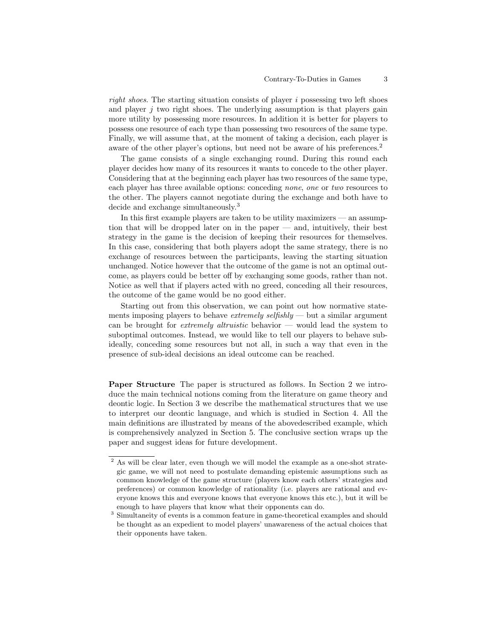right shoes. The starting situation consists of player i possessing two left shoes and player  $j$  two right shoes. The underlying assumption is that players gain more utility by possessing more resources. In addition it is better for players to possess one resource of each type than possessing two resources of the same type. Finally, we will assume that, at the moment of taking a decision, each player is aware of the other player's options, but need not be aware of his preferences.<sup>2</sup>

The game consists of a single exchanging round. During this round each player decides how many of its resources it wants to concede to the other player. Considering that at the beginning each player has two resources of the same type, each player has three available options: conceding none, one or two resources to the other. The players cannot negotiate during the exchange and both have to decide and exchange simultaneously.<sup>3</sup>

In this first example players are taken to be utility maximizers — an assumption that will be dropped later on in the paper — and, intuitively, their best strategy in the game is the decision of keeping their resources for themselves. In this case, considering that both players adopt the same strategy, there is no exchange of resources between the participants, leaving the starting situation unchanged. Notice however that the outcome of the game is not an optimal outcome, as players could be better off by exchanging some goods, rather than not. Notice as well that if players acted with no greed, conceding all their resources, the outcome of the game would be no good either.

Starting out from this observation, we can point out how normative statements imposing players to behave *extremely selfishly*  $\rightarrow$  but a similar argument can be brought for *extremely altruistic* behavior — would lead the system to suboptimal outcomes. Instead, we would like to tell our players to behave subideally, conceding some resources but not all, in such a way that even in the presence of sub-ideal decisions an ideal outcome can be reached.

Paper Structure The paper is structured as follows. In Section 2 we introduce the main technical notions coming from the literature on game theory and deontic logic. In Section 3 we describe the mathematical structures that we use to interpret our deontic language, and which is studied in Section 4. All the main definitions are illustrated by means of the abovedescribed example, which is comprehensively analyzed in Section 5. The conclusive section wraps up the paper and suggest ideas for future development.

<sup>&</sup>lt;sup>2</sup> As will be clear later, even though we will model the example as a one-shot strategic game, we will not need to postulate demanding epistemic assumptions such as common knowledge of the game structure (players know each others' strategies and preferences) or common knowledge of rationality (i.e. players are rational and everyone knows this and everyone knows that everyone knows this etc.), but it will be enough to have players that know what their opponents can do.

<sup>3</sup> Simultaneity of events is a common feature in game-theoretical examples and should be thought as an expedient to model players' unawareness of the actual choices that their opponents have taken.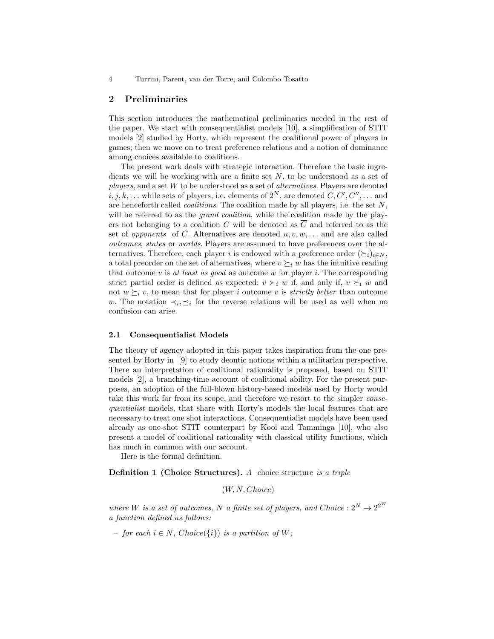## 2 Preliminaries

This section introduces the mathematical preliminaries needed in the rest of the paper. We start with consequentialist models [10], a simplification of STIT models [2] studied by Horty, which represent the coalitional power of players in games; then we move on to treat preference relations and a notion of dominance among choices available to coalitions.

The present work deals with strategic interaction. Therefore the basic ingredients we will be working with are a finite set  $N$ , to be understood as a set of players, and a set W to be understood as a set of alternatives. Players are denoted  $i, j, k, \ldots$  while sets of players, i.e. elements of  $2^N$ , are denoted  $C, C', C'', \ldots$  and are henceforth called coalitions. The coalition made by all players, i.e. the set N, will be referred to as the *grand coalition*, while the coalition made by the players not belonging to a coalition C will be denoted as  $\overline{C}$  and referred to as the set of *opponents* of C. Alternatives are denoted  $u, v, w, \ldots$  and are also called outcomes, states or worlds. Players are assumed to have preferences over the alternatives. Therefore, each player i is endowed with a preference order  $(\succeq_i)_{i\in N}$ , a total preorder on the set of alternatives, where  $v \succeq_i w$  has the intuitive reading that outcome  $v$  is at least as good as outcome  $w$  for player  $i$ . The corresponding strict partial order is defined as expected:  $v \succ_i w$  if, and only if,  $v \succeq_i w$  and not  $w \succeq_i v$ , to mean that for player i outcome v is *strictly better* than outcome w. The notation  $\prec_i, \preceq_i$  for the reverse relations will be used as well when no confusion can arise.

#### 2.1 Consequentialist Models

The theory of agency adopted in this paper takes inspiration from the one presented by Horty in [9] to study deontic notions within a utilitarian perspective. There an interpretation of coalitional rationality is proposed, based on STIT models [2], a branching-time account of coalitional ability. For the present purposes, an adoption of the full-blown history-based models used by Horty would take this work far from its scope, and therefore we resort to the simpler consequentialist models, that share with Horty's models the local features that are necessary to treat one shot interactions. Consequentialist models have been used already as one-shot STIT counterpart by Kooi and Tamminga [10], who also present a model of coalitional rationality with classical utility functions, which has much in common with our account.

Here is the formal definition.

Definition 1 (Choice Structures). A choice structure is a triple

```
(W, N, Choice)
```
where W is a set of outcomes, N a finite set of players, and Choice :  $2^N \rightarrow 2^{2^W}$ a function defined as follows:

 $-$  for each  $i \in N$ , Choice( $\{i\}$ ) is a partition of W;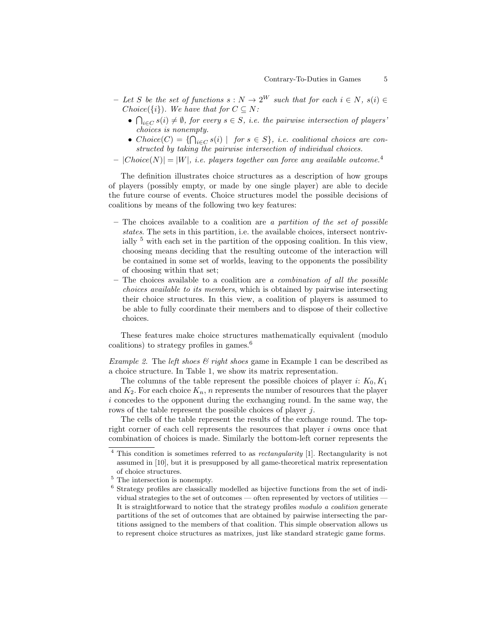- Let S be the set of functions  $s : N \to 2^W$  such that for each  $i \in N$ ,  $s(i) \in$ Choice( $\{i\}$ ). We have that for  $C \subseteq N$ :
	- $\bigcap_{i\in C} s(i) \neq \emptyset$ , for every  $s \in S$ , i.e. the pairwise intersection of players' choices is nonempty.
	- Choice(C) =  $\{\bigcap_{i \in C} s(i) \mid \text{ for } s \in S\}$ , i.e. coalitional choices are constructed by taking the pairwise intersection of individual choices.
- $-|Choice(N)| = |W|, i.e. players together can force any available outcome.<sup>4</sup>$

The definition illustrates choice structures as a description of how groups of players (possibly empty, or made by one single player) are able to decide the future course of events. Choice structures model the possible decisions of coalitions by means of the following two key features:

- $-$  The choices available to a coalition are a partition of the set of possible states. The sets in this partition, i.e. the available choices, intersect nontrivially <sup>5</sup> with each set in the partition of the opposing coalition. In this view, choosing means deciding that the resulting outcome of the interaction will be contained in some set of worlds, leaving to the opponents the possibility of choosing within that set;
- $-$  The choices available to a coalition are a *combination of all the possible* choices available to its members, which is obtained by pairwise intersecting their choice structures. In this view, a coalition of players is assumed to be able to fully coordinate their members and to dispose of their collective choices.

These features make choice structures mathematically equivalent (modulo coalitions) to strategy profiles in games.<sup>6</sup>

*Example 2.* The *left shoes*  $\mathcal{C}'$  right shoes game in Example 1 can be described as a choice structure. In Table 1, we show its matrix representation.

The columns of the table represent the possible choices of player i:  $K_0, K_1$ and  $K_2$ . For each choice  $K_n$ , n represents the number of resources that the player  $i$  concedes to the opponent during the exchanging round. In the same way, the rows of the table represent the possible choices of player j.

The cells of the table represent the results of the exchange round. The topright corner of each cell represents the resources that player i owns once that combination of choices is made. Similarly the bottom-left corner represents the

<sup>&</sup>lt;sup>4</sup> This condition is sometimes referred to as *rectangularity* [1]. Rectangularity is not assumed in [10], but it is presupposed by all game-theoretical matrix representation of choice structures.

 $5$  The intersection is nonempty.

 $^6$  Strategy profiles are classically modelled as bijective functions from the set of individual strategies to the set of outcomes — often represented by vectors of utilities — It is straightforward to notice that the strategy profiles modulo a coalition generate partitions of the set of outcomes that are obtained by pairwise intersecting the partitions assigned to the members of that coalition. This simple observation allows us to represent choice structures as matrixes, just like standard strategic game forms.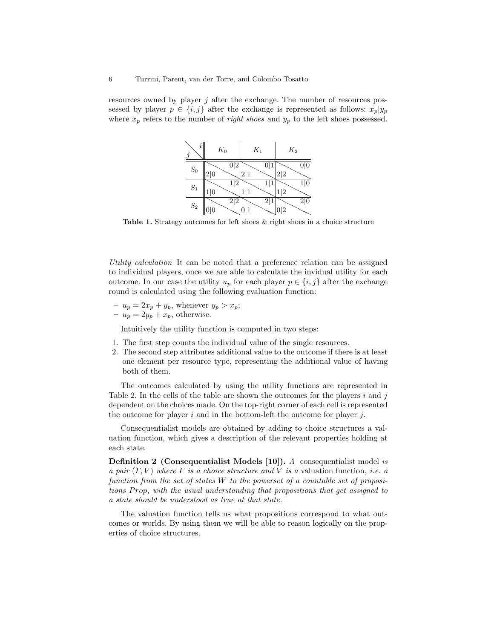resources owned by player j after the exchange. The number of resources possessed by player  $p \in \{i, j\}$  after the exchange is represented as follows:  $x_p|y_p$ where  $x_p$  refers to the number of *right shoes* and  $y_p$  to the left shoes possessed.



Table 1. Strategy outcomes for left shoes  $\&$  right shoes in a choice structure

Utility calculation It can be noted that a preference relation can be assigned to individual players, once we are able to calculate the invidual utility for each outcome. In our case the utility  $u_p$  for each player  $p \in \{i, j\}$  after the exchange round is calculated using the following evaluation function:

–  $u_p = 2x_p + y_p$ , whenever  $y_p > x_p$ ; –  $u_p = 2y_p + x_p$ , otherwise.

Intuitively the utility function is computed in two steps:

- 1. The first step counts the individual value of the single resources.
- 2. The second step attributes additional value to the outcome if there is at least one element per resource type, representing the additional value of having both of them.

The outcomes calculated by using the utility functions are represented in Table 2. In the cells of the table are shown the outcomes for the players  $i$  and  $j$ dependent on the choices made. On the top-right corner of each cell is represented the outcome for player i and in the bottom-left the outcome for player j.

Consequentialist models are obtained by adding to choice structures a valuation function, which gives a description of the relevant properties holding at each state.

Definition 2 (Consequentialist Models [10]). A consequentialist model is a pair  $(\Gamma, V)$  where  $\Gamma$  is a choice structure and V is a valuation function, *i.e.* a function from the set of states W to the powerset of a countable set of propositions Prop, with the usual understanding that propositions that get assigned to a state should be understood as true at that state.

The valuation function tells us what propositions correspond to what outcomes or worlds. By using them we will be able to reason logically on the properties of choice structures.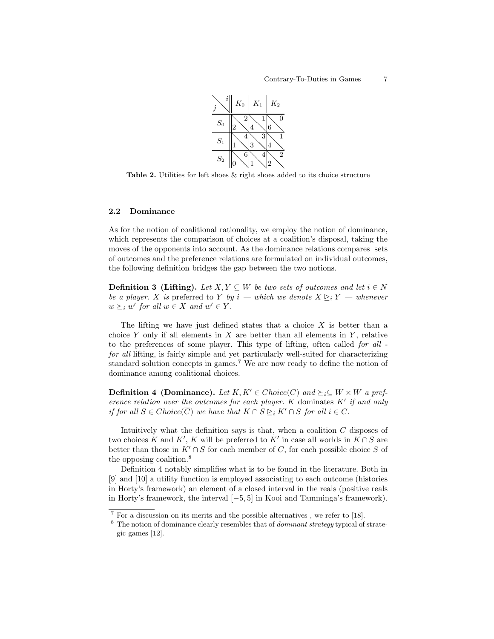

**Table 2.** Utilities for left shoes  $\&$  right shoes added to its choice structure

#### 2.2 Dominance

As for the notion of coalitional rationality, we employ the notion of dominance, which represents the comparison of choices at a coalition's disposal, taking the moves of the opponents into account. As the dominance relations compares sets of outcomes and the preference relations are formulated on individual outcomes, the following definition bridges the gap between the two notions.

**Definition 3 (Lifting).** Let  $X, Y \subseteq W$  be two sets of outcomes and let  $i \in N$ be a player. X is preferred to Y by  $i$  — which we denote  $X \geq_i Y$  — whenever  $w \succeq_i w'$  for all  $w \in X$  and  $w' \in Y$ .

The lifting we have just defined states that a choice  $X$  is better than a choice Y only if all elements in X are better than all elements in Y, relative to the preferences of some player. This type of lifting, often called for all for all lifting, is fairly simple and yet particularly well-suited for characterizing standard solution concepts in games.<sup>7</sup> We are now ready to define the notion of dominance among coalitional choices.

**Definition 4 (Dominance).** Let  $K, K' \in Choice(C)$  and  $\succeq_i \subseteq W \times W$  a preference relation over the outcomes for each player.  $K$  dominates  $K'$  if and only if for all  $S \in Choice(\overline{C})$  we have that  $K \cap S \geq_i K' \cap S$  for all  $i \in C$ .

Intuitively what the definition says is that, when a coalition C disposes of two choices K and K', K will be preferred to K' in case all worlds in  $K \cap S$  are better than those in  $K' \cap S$  for each member of C, for each possible choice S of the opposing coalition.<sup>8</sup>

Definition 4 notably simplifies what is to be found in the literature. Both in [9] and [10] a utility function is employed associating to each outcome (histories in Horty's framework) an element of a closed interval in the reals (positive reals in Horty's framework, the interval [−5, 5] in Kooi and Tamminga's framework).

 $\frac{7}{7}$  For a discussion on its merits and the possible alternatives, we refer to [18].

<sup>&</sup>lt;sup>8</sup> The notion of dominance clearly resembles that of *dominant strategy* typical of strategic games [12].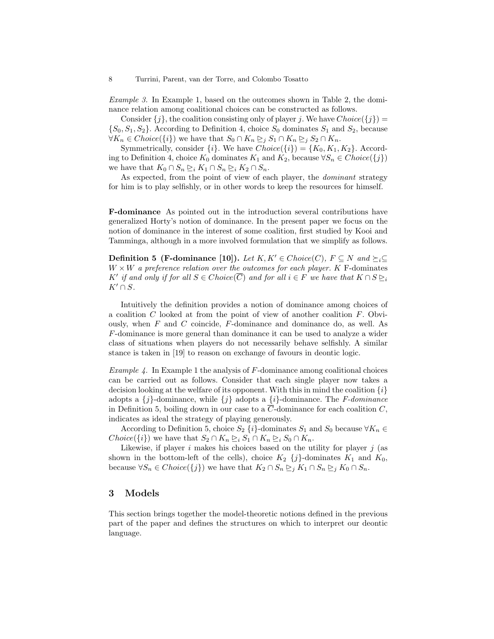Example 3. In Example 1, based on the outcomes shown in Table 2, the dominance relation among coalitional choices can be constructed as follows.

Consider  $\{j\}$ , the coalition consisting only of player j. We have  $Choice(\{j\})$  ${S_0, S_1, S_2}$ . According to Definition 4, choice  $S_0$  dominates  $S_1$  and  $S_2$ , because  $\forall K_n \in Choice(\{i\})$  we have that  $S_0 \cap K_n \trianglerighteq_j S_1 \cap K_n \trianglerighteq_j S_2 \cap K_n$ .

Symmetrically, consider  $\{i\}$ . We have  $Choice(\{i\}) = \{K_0, K_1, K_2\}$ . According to Definition 4, choice  $K_0$  dominates  $K_1$  and  $K_2$ , because  $\forall S_n \in Choice(\{j\})$ we have that  $K_0 \cap S_n \geq i K_1 \cap S_n \geq i K_2 \cap S_n$ .

As expected, from the point of view of each player, the dominant strategy for him is to play selfishly, or in other words to keep the resources for himself.

F-dominance As pointed out in the introduction several contributions have generalized Horty's notion of dominance. In the present paper we focus on the notion of dominance in the interest of some coalition, first studied by Kooi and Tamminga, although in a more involved formulation that we simplify as follows.

**Definition 5 (F-dominance [10]).** Let  $K, K' \in Choice(C), F \subseteq N$  and  $\succeq_i \subseteq$  $W \times W$  a preference relation over the outcomes for each player. K F-dominates K' if and only if for all  $S \in Choice(\overline{C})$  and for all  $i \in F$  we have that  $K \cap S \rvert_{i}$  $K' \cap S$ .

Intuitively the definition provides a notion of dominance among choices of a coalition C looked at from the point of view of another coalition F. Obviously, when F and C coincide, F-dominance and dominance do, as well. As F-dominance is more general than dominance it can be used to analyze a wider class of situations when players do not necessarily behave selfishly. A similar stance is taken in [19] to reason on exchange of favours in deontic logic.

Example 4. In Example 1 the analysis of  $F$ -dominance among coalitional choices can be carried out as follows. Consider that each single player now takes a decision looking at the welfare of its opponent. With this in mind the coalition  $\{i\}$ adopts a  $\{j\}$ -dominance, while  $\{j\}$  adopts a  $\{i\}$ -dominance. The *F*-dominance in Definition 5, boiling down in our case to a  $\overline{C}$ -dominance for each coalition C, indicates as ideal the strategy of playing generously.

According to Definition 5, choice  $S_2 \{i\}$ -dominates  $S_1$  and  $S_0$  because  $\forall K_n \in$ Choice( $\{i\}$ ) we have that  $S_2 \cap K_n \trianglerighteq_i S_1 \cap K_n \trianglerighteq_i S_0 \cap K_n$ .

Likewise, if player  $i$  makes his choices based on the utility for player  $j$  (as shown in the bottom-left of the cells), choice  $K_2$  {j}-dominates  $K_1$  and  $K_0$ , because  $\forall S_n \in Choice(\{j\})$  we have that  $K_2 \cap S_n \supseteq_j K_1 \cap S_n \supseteq_j K_0 \cap S_n$ .

## 3 Models

This section brings together the model-theoretic notions defined in the previous part of the paper and defines the structures on which to interpret our deontic language.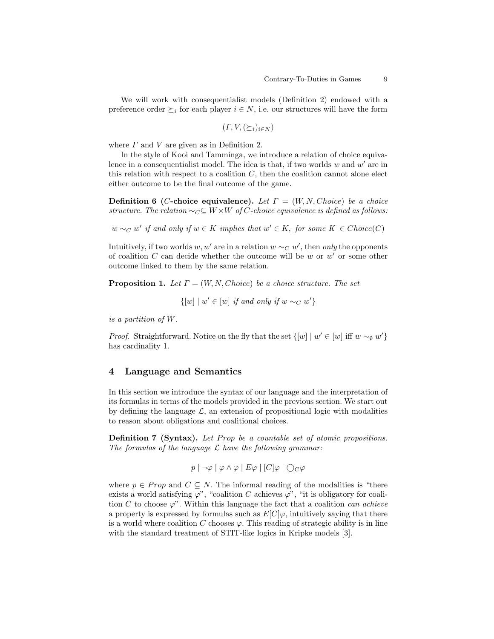We will work with consequentialist models (Definition 2) endowed with a preference order  $\succeq_i$  for each player  $i \in N$ , i.e. our structures will have the form

$$
(\Gamma, V, (\succeq_i)_{i \in N})
$$

where  $\Gamma$  and  $V$  are given as in Definition 2.

In the style of Kooi and Tamminga, we introduce a relation of choice equivalence in a consequentialist model. The idea is that, if two worlds  $w$  and  $w'$  are in this relation with respect to a coalition  $C$ , then the coalition cannot alone elect either outcome to be the final outcome of the game.

**Definition 6** (C-choice equivalence). Let  $\Gamma = (W, N, Choice)$  be a choice structure. The relation  $\sim_C \subseteq W \times W$  of C-choice equivalence is defined as follows:

 $w \sim_C w'$  if and only if  $w \in K$  implies that  $w' \in K$ , for some  $K \in Choice(C)$ 

Intuitively, if two worlds  $w, w'$  are in a relation  $w \sim_C w'$ , then *only* the opponents of coalition  $C$  can decide whether the outcome will be  $w$  or  $w'$  or some other outcome linked to them by the same relation.

**Proposition 1.** Let  $\Gamma = (W, N, Choice)$  be a choice structure. The set

 $\{[w] \mid w' \in [w] \text{ if and only if } w \sim_C w'\}$ 

is a partition of W.

*Proof.* Straightforward. Notice on the fly that the set  $\{[w] \mid w' \in [w] \text{ iff } w \sim_{\emptyset} w'\}$ has cardinality 1.

## 4 Language and Semantics

In this section we introduce the syntax of our language and the interpretation of its formulas in terms of the models provided in the previous section. We start out by defining the language  $\mathcal{L}$ , an extension of propositional logic with modalities to reason about obligations and coalitional choices.

Definition 7 (Syntax). Let Prop be a countable set of atomic propositions. The formulas of the language  $\mathcal L$  have the following grammar:

$$
p\mid\neg\varphi\mid\varphi\wedge\varphi\mid E\varphi\mid[C]\varphi\mid\bigcirc_C\varphi
$$

where  $p \in Prop$  and  $C \subseteq N$ . The informal reading of the modalities is "there exists a world satisfying  $\varphi$ ", "coalition C achieves  $\varphi$ ", "it is obligatory for coalition C to choose  $\varphi$ ". Within this language the fact that a coalition can achieve a property is expressed by formulas such as  $E[C]\varphi$ , intuitively saying that there is a world where coalition C chooses  $\varphi$ . This reading of strategic ability is in line with the standard treatment of STIT-like logics in Kripke models [3].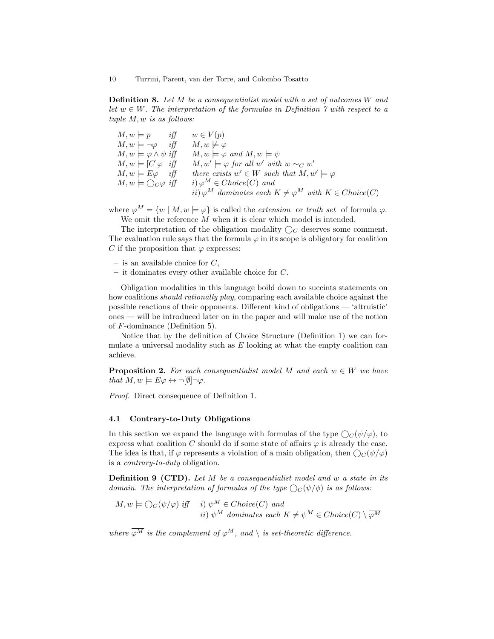**Definition 8.** Let M be a consequentialist model with a set of outcomes W and let  $w \in W$ . The interpretation of the formulas in Definition 7 with respect to a tuple M, w is as follows:

 $M, w \models p$  iff  $w \in V(p)$  $M, w \models \neg \varphi$  iff  $M, w \not\models \varphi$  $M, w \models \varphi \land \psi \text{ iff } M, w \models \varphi \text{ and } M, w \models \psi$  $M, w \models [C] \varphi \text{ iff}$  $\models \varphi$  for all w' with  $w \sim_C w'$  $M, w \models E\varphi \quad \textit{iff}$  $\mathscr{O}' \in W$  such that  $M, w' \models \varphi$  $M, w \models \bigcirc_{C} \varphi \text{ iff } i) \varphi^M \in Choice(C) \text{ and }$  $ii) \varphi^M$  dominates each  $K \neq \varphi^M$  with  $K \in Choice(C)$ 

where  $\varphi^M = \{w \mid M, w \models \varphi\}$  is called the *extension* or *truth set* of formula  $\varphi$ . We omit the reference M when it is clear which model is intended.

The interpretation of the obligation modality  $\bigcirc_C$  deserves some comment. The evaluation rule says that the formula  $\varphi$  in its scope is obligatory for coalition C if the proposition that  $\varphi$  expresses:

- is an available choice for  $C$ ,
- it dominates every other available choice for C.

Obligation modalities in this language boild down to succints statements on how coalitions *should rationally play*, comparing each available choice against the possible reactions of their opponents. Different kind of obligations — 'altruistic' ones — will be introduced later on in the paper and will make use of the notion of F-dominance (Definition 5).

Notice that by the definition of Choice Structure (Definition 1) we can formulate a universal modality such as E looking at what the empty coalition can achieve.

**Proposition 2.** For each consequentialist model M and each  $w \in W$  we have that  $M, w \models E\varphi \leftrightarrow \neg[\emptyset] \neg \varphi$ .

Proof. Direct consequence of Definition 1.

#### 4.1 Contrary-to-Duty Obligations

In this section we expand the language with formulas of the type  $\bigcirc_C(\psi/\varphi)$ , to express what coalition C should do if some state of affairs  $\varphi$  is already the case. The idea is that, if  $\varphi$  represents a violation of a main obligation, then  $\bigcirc_C(\psi/\varphi)$ is a contrary-to-duty obligation.

**Definition 9 (CTD).** Let M be a consequentialist model and w a state in its domain. The interpretation of formulas of the type  $\mathcal{O}_C(\psi/\phi)$  is as follows:

 $M, w \models \bigcirc_C(\psi/\varphi) \text{ iff } i) \psi^M \in Choice(C) \text{ and}$  $ii) \psi^M$  dominates each  $K \neq \psi^M \in Choice(C) \setminus \overline{\varphi^M}$ 

where  $\overline{\varphi^M}$  is the complement of  $\varphi^M$ , and  $\setminus$  is set-theoretic difference.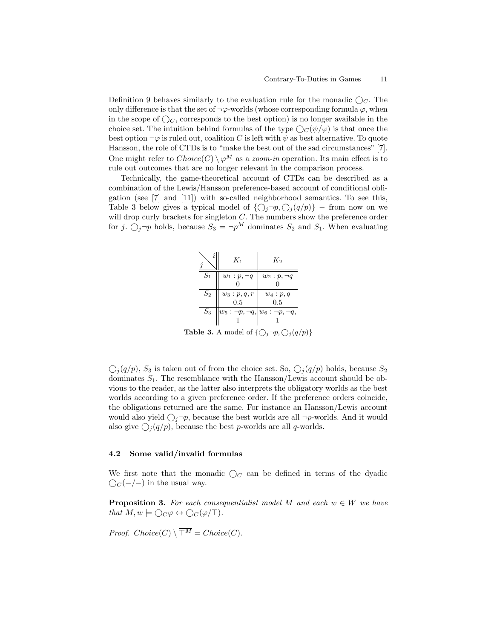Definition 9 behaves similarly to the evaluation rule for the monadic  $\bigcirc_{C}$ . The only difference is that the set of  $\neg \varphi$ -worlds (whose corresponding formula  $\varphi$ , when in the scope of  $\bigcirc_C$ , corresponds to the best option) is no longer available in the choice set. The intuition behind formulas of the type  $\mathcal{O}_C(\psi/\varphi)$  is that once the best option  $\neg \varphi$  is ruled out, coalition C is left with  $\psi$  as best alternative. To quote Hansson, the role of CTDs is to "make the best out of the sad circumstances" [7]. One might refer to  $Choice(C) \setminus \overline{\varphi^M}$  as a *zoom-in* operation. Its main effect is to rule out outcomes that are no longer relevant in the comparison process.

Technically, the game-theoretical account of CTDs can be described as a combination of the Lewis/Hansson preference-based account of conditional obligation (see [7] and [11]) with so-called neighborhood semantics. To see this, Table 3 below gives a typical model of  $\{O_i \neg p, O_i(q/p)\}$  – from now on we will drop curly brackets for singleton  $C$ . The numbers show the preference order for j.  $\bigcirc_j \neg p$  holds, because  $S_3 = \neg p^M$  dominates  $S_2$  and  $S_1$ . When evaluating

| $\tilde{i}$ | $K_1$                                        | $K_2$           |
|-------------|----------------------------------------------|-----------------|
| $S_1$       | $w_1:p, \neg q$                              | $w_2:p, \neg q$ |
| $S_2$       | $w_3 : p, q, r$                              | $w_4:p,q$       |
|             | $0.5\,$                                      | $0.5\,$         |
| $S_3$       | $w_5: \neg p, \neg q,  w_6: \neg p, \neg q,$ |                 |

**Table 3.** A model of  $\{\bigcirc_j \neg p, \bigcirc_j (q/p)\}$ 

 $\bigcirc_i (q/p), S_3$  is taken out of from the choice set. So,  $\bigcirc_i (q/p)$  holds, because  $S_2$ dominates  $S_1$ . The resemblance with the Hansson/Lewis account should be obvious to the reader, as the latter also interprets the obligatory worlds as the best worlds according to a given preference order. If the preference orders coincide, the obligations returned are the same. For instance an Hansson/Lewis account would also yield  $\bigcirc_i \neg p$ , because the best worlds are all  $\neg p$ -worlds. And it would also give  $\bigcirc_i (q/p)$ , because the best p-worlds are all q-worlds.

#### 4.2 Some valid/invalid formulas

We first note that the monadic  $\bigcirc_C$  can be defined in terms of the dyadic  $\bigcirc_C (-/-)$  in the usual way.

**Proposition 3.** For each consequentialist model M and each  $w \in W$  we have that  $M, w \models \bigcirc_{C} \varphi \leftrightarrow \bigcirc_{C}(\varphi/\top).$ 

*Proof.*  $Choice(C) \setminus \overline{\top^{M}} = Choice(C).$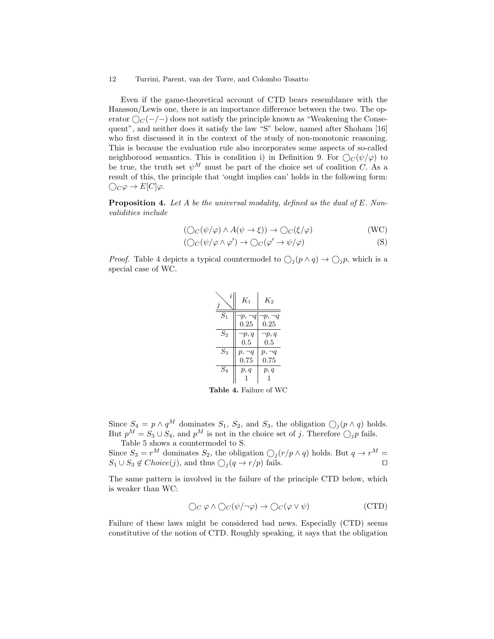Even if the game-theoretical account of CTD bears resemblance with the Hansson/Lewis one, there is an importance difference between the two. The operator  $\bigcirc_C (-/-)$  does not satisfy the principle known as "Weakening the Consequent", and neither does it satisfy the law "S" below, named after Shoham [16] who first discussed it in the context of the study of non-monotonic reasoning. This is because the evaluation rule also incorporates some aspects of so-called neighborood semantics. This is condition i) in Definition 9. For  $\bigcirc_{C}(\psi/\varphi)$  to be true, the truth set  $\psi^M$  must be part of the choice set of coalition C. As a result of this, the principle that 'ought implies can' holds in the following form:  $\bigcirc_{C}\varphi\rightarrow E[C]\varphi.$ 

**Proposition 4.** Let A be the universal modality, defined as the dual of  $E$ . Nonvalidities include

$$
(\bigcirc_C(\psi/\varphi) \land A(\psi \to \xi)) \to \bigcirc_C(\xi/\varphi) \tag{WC}
$$

$$
(\bigcirc_C(\psi/\varphi \land \varphi') \to \bigcirc_C(\varphi' \to \psi/\varphi) \tag{S}
$$

*Proof.* Table 4 depicts a typical countermodel to  $\bigcirc_j (p \wedge q) \to \bigcirc_j p$ , which is a special case of WC.

| i      | $K_1$                           | $K_2$       |
|--------|---------------------------------|-------------|
| $S_1$  | $\neg p, \neg q \neg p, \neg q$ |             |
| $0.25$ | $0.25$                          |             |
| $S_2$  | $\neg p, q$                     | $\neg p, q$ |
| $S_3$  | $p, \neg q$                     | $p, \neg q$ |
| $0.75$ | $0.75$                          |             |
| $S_4$  | $p, q$                          | $p, q$      |
| $1$    | $1$                             |             |

Table 4. Failure of WC

Since  $S_4 = p \wedge q^M$  dominates  $S_1$ ,  $S_2$ , and  $S_3$ , the obligation  $\bigcirc_j (p \wedge q)$  holds. But  $p^M = S_3 \cup S_4$ , and  $p^M$  is not in the choice set of j. Therefore  $\bigcirc_j p$  fails. Table 5 shows a countermodel to S.

Since  $S_3 = r^M$  dominates  $S_2$ , the obligation  $\bigcirc_j (r/p \wedge q)$  holds. But  $q \to r^M =$  $S_1 \cup S_3 \notin Choice(j)$ , and thus  $\bigcirc_j (q \to r/p)$  fails.

The same pattern is involved in the failure of the principle CTD below, which is weaker than WC:

$$
\bigcirc_C \varphi \land \bigcirc_C (\psi/\neg \varphi) \to \bigcirc_C (\varphi \lor \psi)
$$
 (CTD)

Failure of these laws might be considered bad news. Especially (CTD) seems constitutive of the notion of CTD. Roughly speaking, it says that the obligation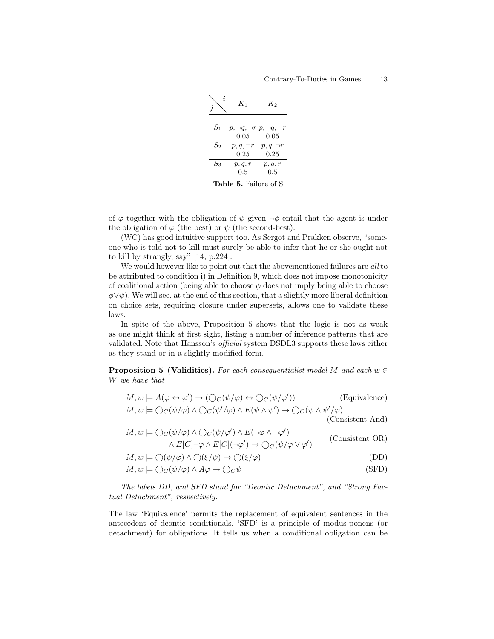

Table 5. Failure of S

of  $\varphi$  together with the obligation of  $\psi$  given  $\neg \phi$  entail that the agent is under the obligation of  $\varphi$  (the best) or  $\psi$  (the second-best).

(WC) has good intuitive support too. As Sergot and Prakken observe, "someone who is told not to kill must surely be able to infer that he or she ought not to kill by strangly, say" [14, p.224].

We would however like to point out that the abovementioned failures are all to be attributed to condition i) in Definition 9, which does not impose monotonicity of coalitional action (being able to choose  $\phi$  does not imply being able to choose  $\phi \lor \psi$ ). We will see, at the end of this section, that a slightly more liberal definition on choice sets, requiring closure under supersets, allows one to validate these laws.

In spite of the above, Proposition 5 shows that the logic is not as weak as one might think at first sight, listing a number of inference patterns that are validated. Note that Hansson's official system DSDL3 supports these laws either as they stand or in a slightly modified form.

**Proposition 5 (Validities).** For each consequentialist model M and each  $w \in$ W we have that

$$
M, w \models A(\varphi \leftrightarrow \varphi') \rightarrow (\bigcirc_C(\psi/\varphi) \leftrightarrow \bigcirc_C(\psi/\varphi'))
$$
 (Equivalence)  

$$
M, w \models \bigcirc_C(\psi/\varphi) \land \bigcirc_C(\psi'/\varphi) \land E(\psi \land \psi') \rightarrow \bigcirc_C(\psi \land \psi'/\varphi)
$$
 (Consistent And)

$$
M, w \models \bigcirc_C(\psi/\varphi) \land \bigcirc_C(\psi/\varphi') \land E(\neg \varphi \land \neg \varphi')
$$
  
 
$$
\land E[C] \neg \varphi \land E[C] (\neg \varphi') \rightarrow \bigcirc_C(\psi/\varphi \lor \varphi')
$$
 (Consistent OR)

$$
M, w \models \bigcirc (\psi/\varphi) \land \bigcirc (\xi/\psi) \to \bigcirc (\xi/\varphi)
$$
 (DD)

$$
M, w \models \bigcirc_C(\psi/\varphi) \land A\varphi \to \bigcirc_C \psi \tag{SFD}
$$

The labels DD, and SFD stand for "Deontic Detachment", and "Strong Factual Detachment", respectively.

The law 'Equivalence' permits the replacement of equivalent sentences in the antecedent of deontic conditionals. 'SFD' is a principle of modus-ponens (or detachment) for obligations. It tells us when a conditional obligation can be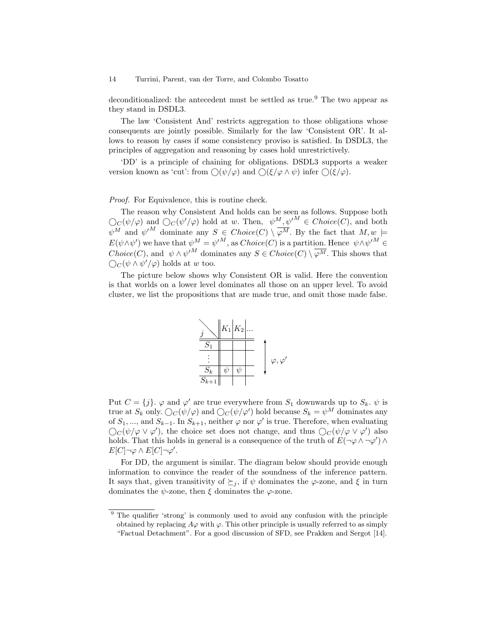deconditionalized: the antecedent must be settled as true.<sup>9</sup> The two appear as they stand in DSDL3.

The law 'Consistent And' restricts aggregation to those obligations whose consequents are jointly possible. Similarly for the law 'Consistent OR'. It allows to reason by cases if some consistency proviso is satisfied. In DSDL3, the principles of aggregation and reasoning by cases hold unrestrictively.

'DD' is a principle of chaining for obligations. DSDL3 supports a weaker version known as 'cut': from  $\bigcirc (\psi/\varphi)$  and  $\bigcirc (\xi/\varphi \wedge \psi)$  infer  $\bigcirc (\xi/\varphi)$ .

Proof. For Equivalence, this is routine check.

The reason why Consistent And holds can be seen as follows. Suppose both  $\mathcal{O}_C(\psi/\varphi)$  and  $\mathcal{O}_C(\psi'/\varphi)$  hold at w. Then,  $\psi^M, \psi'^M \in Choice(C)$ , and both  $\psi^M$  and  $\psi'^M$  dominate any  $S \in Choice(C) \setminus \overline{\varphi^M}$ . By the fact that  $M, w \models$  $E(\psi \wedge \psi')$  we have that  $\psi^M = {\psi'}^M$ , as  $Choice(C)$  is a partition. Hence  $\psi \wedge {\psi'}^M \in$  $Choice(C)$ , and  $\psi \wedge \psi^M$  dominates any  $S \in Choice(C) \setminus \overline{\varphi^M}$ . This shows that  $\bigcirc_C(\psi \wedge \psi'/\varphi)$  holds at w too.

The picture below shows why Consistent OR is valid. Here the convention is that worlds on a lower level dominates all those on an upper level. To avoid cluster, we list the propositions that are made true, and omit those made false.



Put  $C = \{j\}$ .  $\varphi$  and  $\varphi'$  are true everywhere from  $S_1$  downwards up to  $S_k$ .  $\psi$  is true at  $S_k$  only.  $\mathcal{O}_C(\psi/\varphi)$  and  $\mathcal{O}_C(\psi/\varphi')$  hold because  $S_k = \psi^M$  dominates any of  $S_1, \ldots$ , and  $S_{k-1}$ . In  $S_{k+1}$ , neither  $\varphi$  nor  $\varphi'$  is true. Therefore, when evaluating  $\mathcal{O}_C(\psi/\varphi \vee \varphi')$ , the choice set does not change, and thus  $\mathcal{O}_C(\psi/\varphi \vee \varphi')$  also holds. That this holds in general is a consequence of the truth of  $E(\neg \varphi \wedge \neg \varphi') \wedge$  $E[C] \neg \varphi \wedge E[C] \neg \varphi'.$ 

For DD, the argument is similar. The diagram below should provide enough information to convince the reader of the soundness of the inference pattern. It says that, given transitivity of  $\succeq_i$ , if  $\psi$  dominates the  $\varphi$ -zone, and  $\xi$  in turn dominates the  $\psi$ -zone, then  $\xi$  dominates the  $\varphi$ -zone.

<sup>&</sup>lt;sup>9</sup> The qualifier 'strong' is commonly used to avoid any confusion with the principle obtained by replacing  $A\varphi$  with  $\varphi$ . This other principle is usually referred to as simply "Factual Detachment". For a good discussion of SFD, see Prakken and Sergot [14].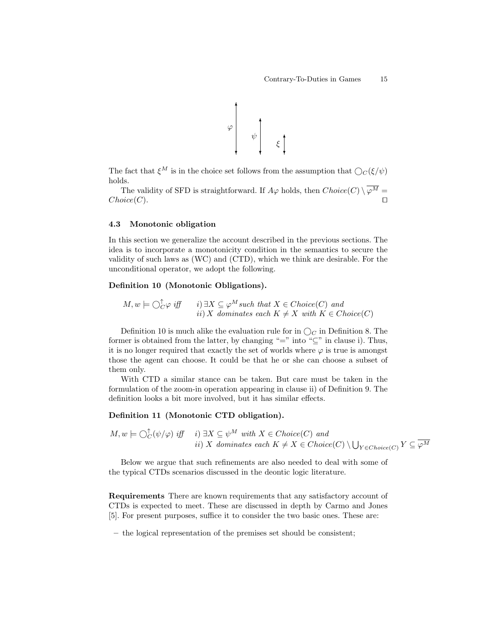

❄

The fact that  $\xi^M$  is in the choice set follows from the assumption that  $\mathcal{O}_C(\xi/\psi)$ holds.

The validity of SFD is straightforward. If  $A\varphi$  holds, then  $Choice(C) \setminus \overline{\varphi^M}$  =  $Choice(C).$ 

#### 4.3 Monotonic obligation

In this section we generalize the account described in the previous sections. The idea is to incorporate a monotonicity condition in the semantics to secure the validity of such laws as (WC) and (CTD), which we think are desirable. For the unconditional operator, we adopt the following.

#### Definition 10 (Monotonic Obligations).

 $M, w \models \bigcirc_C^{\uparrow} \varphi$  iff  $i) \exists X \subseteq \varphi^M such that X \in Choice(C)$  and ii) X dominates each  $K \neq X$  with  $K \in Choice(C)$ 

Definition 10 is much alike the evaluation rule for in  $\mathcal{O}_C$  in Definition 8. The former is obtained from the latter, by changing "=" into " $\subseteq$ " in clause i). Thus, it is no longer required that exactly the set of worlds where  $\varphi$  is true is amongst those the agent can choose. It could be that he or she can choose a subset of them only.

With CTD a similar stance can be taken. But care must be taken in the formulation of the zoom-in operation appearing in clause ii) of Definition 9. The definition looks a bit more involved, but it has similar effects.

#### Definition 11 (Monotonic CTD obligation).

$$
M, w \models \bigcirc_C^{\uparrow}(\psi/\varphi) \text{ iff } i) \exists X \subseteq \psi^M \text{ with } X \in Choice(C) \text{ and}
$$
  
ii) X dominates each  $K \neq X \in Choice(C) \setminus \bigcup_{Y \in Choice(C)} Y \subseteq \overline{\varphi^M}$ 

Below we argue that such refinements are also needed to deal with some of the typical CTDs scenarios discussed in the deontic logic literature.

Requirements There are known requirements that any satisfactory account of CTDs is expected to meet. These are discussed in depth by Carmo and Jones [5]. For present purposes, suffice it to consider the two basic ones. These are:

– the logical representation of the premises set should be consistent;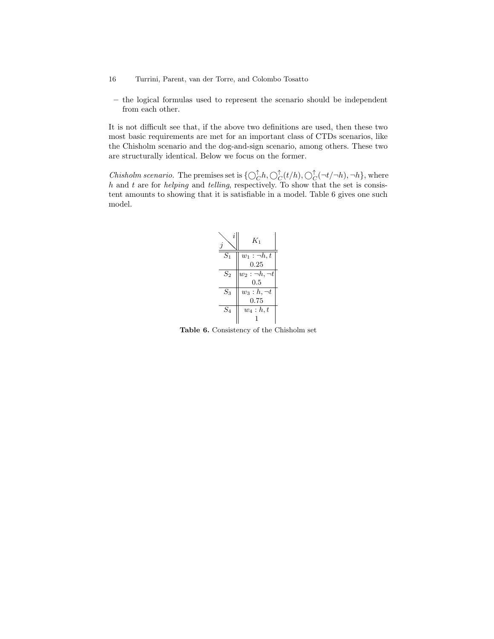- 16 Turrini, Parent, van der Torre, and Colombo Tosatto
- the logical formulas used to represent the scenario should be independent from each other.

It is not difficult see that, if the above two definitions are used, then these two most basic requirements are met for an important class of CTDs scenarios, like the Chisholm scenario and the dog-and-sign scenario, among others. These two are structurally identical. Below we focus on the former.

*Chisholm scenario.* The premises set is  $\{\bigcirc_C^{\uparrow} h, \bigcirc_C^{\uparrow}(t/h), \bigcirc_C^{\uparrow}(\neg t/\neg h), \neg h\}$ , where  $h$  and  $t$  are for *helping* and *telling*, respectively. To show that the set is consistent amounts to showing that it is satisfiable in a model. Table 6 gives one such model.



Table 6. Consistency of the Chisholm set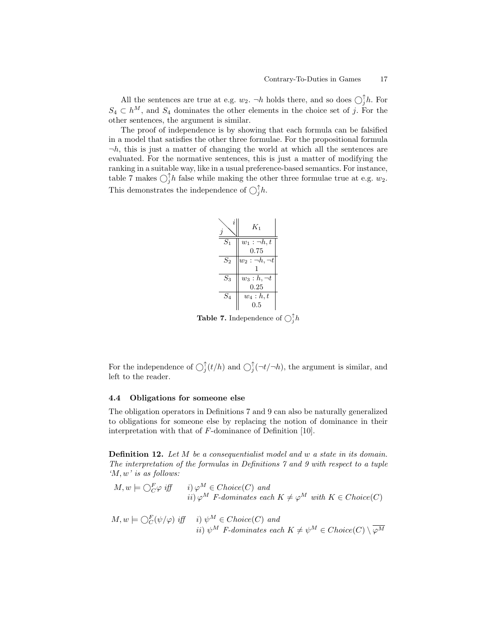All the sentences are true at e.g.  $w_2$ .  $\neg h$  holds there, and so does  $\bigcirc$ <sup> $\uparrow$ </sup> $h$ . For  $S_4 \subset h^M$ , and  $S_4$  dominates the other elements in the choice set of j. For the other sentences, the argument is similar.

The proof of independence is by showing that each formula can be falsified in a model that satisfies the other three formulae. For the propositional formula  $\neg h$ , this is just a matter of changing the world at which all the sentences are evaluated. For the normative sentences, this is just a matter of modifying the ranking in a suitable way, like in a usual preference-based semantics. For instance, table 7 makes  $\bigcirc$ <sup>†</sup>h false while making the other three formulae true at e.g.  $w_2$ . This demonstrates the independence of  $\bigcirc_j^{\uparrow} h$ .



**Table 7.** Independence of  $\bigcirc_j^{\uparrow}h$ 

For the independence of  $\bigcirc_j^{\uparrow} (t/h)$  and  $\bigcirc_j^{\uparrow} (\neg t/\neg h)$ , the argument is similar, and left to the reader.

#### 4.4 Obligations for someone else

The obligation operators in Definitions 7 and 9 can also be naturally generalized to obligations for someone else by replacing the notion of dominance in their interpretation with that of F-dominance of Definition [10].

Definition 12. Let M be a consequentialist model and w a state in its domain. The interpretation of the formulas in Definitions 7 and 9 with respect to a tuple  $'M, w'$  is as follows:

$$
M, w \models \bigcirc_{C}^{F} \varphi \text{ iff } \text{ } i) \varphi^{M} \in Choice(C) \text{ and}
$$
  
 
$$
ii) \varphi^{M} \text{ F-dominates each } K \neq \varphi^{M} \text{ with } K \in Choice(C)
$$

$$
M, w \models \bigcirc_C^F(\psi/\varphi) \text{ iff } i) \psi^M \in Choice(C) \text{ and}
$$
  
ii)  $\psi^M \in H \text{-dominates each } K \neq \psi^M \in Choice(C) \setminus \overline{\varphi^M}$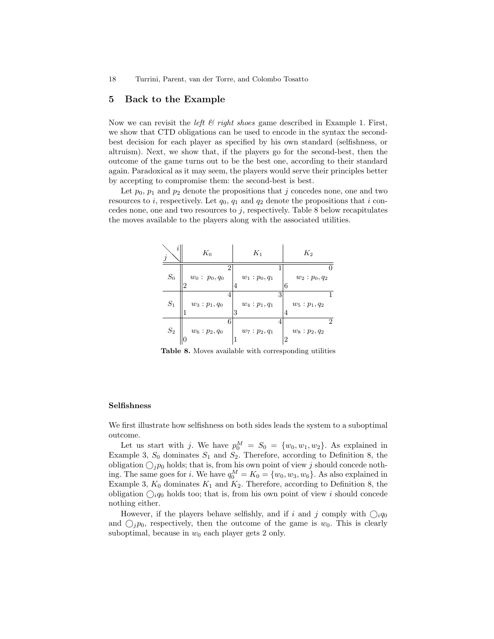#### 5 Back to the Example

Now we can revisit the *left*  $\mathcal{B}$  *right shoes* game described in Example 1. First, we show that CTD obligations can be used to encode in the syntax the secondbest decision for each player as specified by his own standard (selfishness, or altruism). Next, we show that, if the players go for the second-best, then the outcome of the game turns out to be the best one, according to their standard again. Paradoxical as it may seem, the players would serve their principles better by accepting to compromise them: the second-best is best.

Let  $p_0$ ,  $p_1$  and  $p_2$  denote the propositions that j concedes none, one and two resources to i, respectively. Let  $q_0$ ,  $q_1$  and  $q_2$  denote the propositions that i concedes none, one and two resources to  $j$ , respectively. Table 8 below recapitulates the moves available to the players along with the associated utilities.

| i<br>$\mathcal{L}$ | $K_0$            | $K_1$            | $K_2$            |
|--------------------|------------------|------------------|------------------|
|                    |                  |                  | U                |
| $\mathcal{S}_0$    | $w_0: p_0, q_0$  | $w_1 : p_0, q_1$ | $w_2 : p_0, q_2$ |
|                    | 2                | 4                | 6                |
|                    | 4                | 3                |                  |
| $S_1$              | $w_3 : p_1, q_0$ | $w_4:p_1, q_1$   | $w_5 : p_1, q_2$ |
|                    |                  | 3                | 4                |
|                    | 6                |                  | $\overline{2}$   |
| $S_2$              | $w_6 : p_2, q_0$ | $w_7: p_2, q_1$  | $w_8: p_2, q_2$  |
|                    |                  |                  | 2                |

Table 8. Moves available with corresponding utilities

#### Selfishness

We first illustrate how selfishness on both sides leads the system to a suboptimal outcome.

Let us start with j. We have  $p_0^M = S_0 = \{w_0, w_1, w_2\}$ . As explained in Example 3,  $S_0$  dominates  $S_1$  and  $S_2$ . Therefore, according to Definition 8, the obligation  $\bigcirc_i p_0$  holds; that is, from his own point of view j should concede nothing. The same goes for *i*. We have  $q_0^M = K_0 = \{w_0, w_3, w_6\}$ . As also explained in Example 3,  $K_0$  dominates  $K_1$  and  $K_2$ . Therefore, according to Definition 8, the obligation  $\bigcirc_i q_0$  holds too; that is, from his own point of view i should concede nothing either.

However, if the players behave selfishly, and if i and j comply with  $\bigcirc_i q_0$ and  $\bigcirc_i p_0$ , respectively, then the outcome of the game is  $w_0$ . This is clearly suboptimal, because in  $w_0$  each player gets 2 only.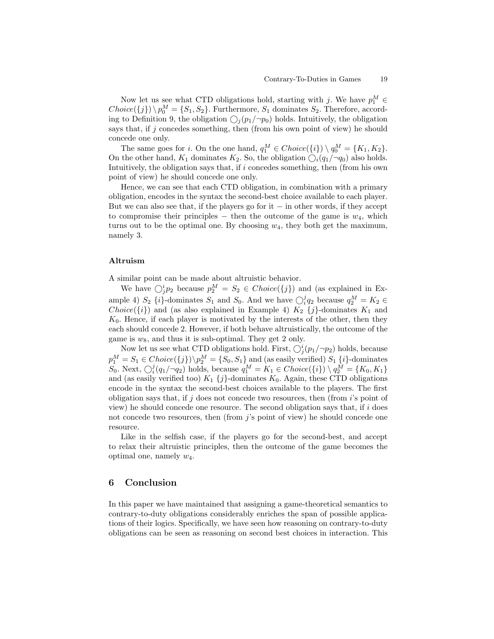Now let us see what CTD obligations hold, starting with j. We have  $p_1^M \in$  $Choice({j}) \backslash p_0^M = {S_1, S_2}.$  Furthermore,  $S_1$  dominates  $S_2$ . Therefore, according to Definition 9, the obligation  $\bigcirc_i (p_1/\neg p_0)$  holds. Intuitively, the obligation says that, if  $j$  concedes something, then (from his own point of view) he should concede one only.

The same goes for *i*. On the one hand,  $q_1^M \in Choice(\{i\}) \setminus q_0^M = \{K_1, K_2\}.$ On the other hand,  $K_1$  dominates  $K_2$ . So, the obligation  $\bigcirc_i(q_1/\neg q_0)$  also holds. Intuitively, the obligation says that, if  $i$  concedes something, then (from his own point of view) he should concede one only.

Hence, we can see that each CTD obligation, in combination with a primary obligation, encodes in the syntax the second-best choice available to each player. But we can also see that, if the players go for it  $-$  in other words, if they accept to compromise their principles – then the outcome of the game is  $w_4$ , which turns out to be the optimal one. By choosing  $w_4$ , they both get the maximum, namely 3.

#### Altruism

A similar point can be made about altruistic behavior.

We have  $\bigcirc_j^i p_2$  because  $p_2^M = S_2 \in Choice(\lbrace j \rbrace)$  and (as explained in Example 4)  $S_2$  {*i*}-dominates  $S_1$  and  $S_0$ . And we have  $\bigcirc_i^j q_2$  because  $q_2^M = K_2 \in$ Choice( $\{i\}$ ) and (as also explained in Example 4)  $K_2$   $\{j\}$ -dominates  $K_1$  and  $K_0$ . Hence, if each player is motivated by the interests of the other, then they each should concede 2. However, if both behave altruistically, the outcome of the game is  $w_8$ , and thus it is sub-optimal. They get 2 only.

Now let us see what CTD obligations hold. First,  $\bigcirc_j^i(p_1/\neg p_2)$  holds, because  $p_1^M = S_1 \in Choice(\{j\}) \backslash p_2^M = \{S_0, S_1\}$  and (as easily verified)  $S_1 \{i\}$ -dominates S<sub>0</sub>. Next,  $\bigcirc_i^j(q_1/\neg q_2)$  holds, because  $q_1^M = K_1 \in Choice(\{i\}) \setminus q_2^M = \{K_0, K_1\}$ and (as easily verified too)  $K_1$  {j}-dominates  $K_0$ . Again, these CTD obligations encode in the syntax the second-best choices available to the players. The first obligation says that, if  $j$  does not concede two resources, then (from  $i$ 's point of view) he should concede one resource. The second obligation says that, if  $i$  does not concede two resources, then (from  $j$ 's point of view) he should concede one resource.

Like in the selfish case, if the players go for the second-best, and accept to relax their altruistic principles, then the outcome of the game becomes the optimal one, namely  $w_4$ .

### 6 Conclusion

In this paper we have maintained that assigning a game-theoretical semantics to contrary-to-duty obligations considerably enriches the span of possible applications of their logics. Specifically, we have seen how reasoning on contrary-to-duty obligations can be seen as reasoning on second best choices in interaction. This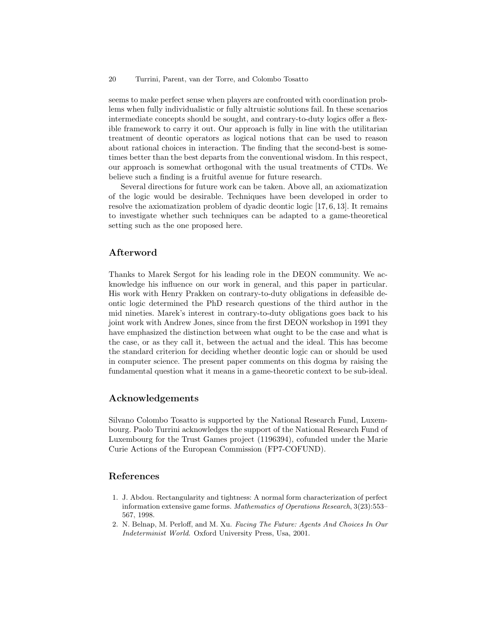seems to make perfect sense when players are confronted with coordination problems when fully individualistic or fully altruistic solutions fail. In these scenarios intermediate concepts should be sought, and contrary-to-duty logics offer a flexible framework to carry it out. Our approach is fully in line with the utilitarian treatment of deontic operators as logical notions that can be used to reason about rational choices in interaction. The finding that the second-best is sometimes better than the best departs from the conventional wisdom. In this respect, our approach is somewhat orthogonal with the usual treatments of CTDs. We believe such a finding is a fruitful avenue for future research.

Several directions for future work can be taken. Above all, an axiomatization of the logic would be desirable. Techniques have been developed in order to resolve the axiomatization problem of dyadic deontic logic [17, 6, 13]. It remains to investigate whether such techniques can be adapted to a game-theoretical setting such as the one proposed here.

## Afterword

Thanks to Marek Sergot for his leading role in the DEON community. We acknowledge his influence on our work in general, and this paper in particular. His work with Henry Prakken on contrary-to-duty obligations in defeasible deontic logic determined the PhD research questions of the third author in the mid nineties. Marek's interest in contrary-to-duty obligations goes back to his joint work with Andrew Jones, since from the first DEON workshop in 1991 they have emphasized the distinction between what ought to be the case and what is the case, or as they call it, between the actual and the ideal. This has become the standard criterion for deciding whether deontic logic can or should be used in computer science. The present paper comments on this dogma by raising the fundamental question what it means in a game-theoretic context to be sub-ideal.

## Acknowledgements

Silvano Colombo Tosatto is supported by the National Research Fund, Luxembourg. Paolo Turrini acknowledges the support of the National Research Fund of Luxembourg for the Trust Games project (1196394), cofunded under the Marie Curie Actions of the European Commission (FP7-COFUND).

## References

- 1. J. Abdou. Rectangularity and tightness: A normal form characterization of perfect information extensive game forms. Mathematics of Operations Research, 3(23):553– 567, 1998.
- 2. N. Belnap, M. Perloff, and M. Xu. Facing The Future: Agents And Choices In Our Indeterminist World. Oxford University Press, Usa, 2001.